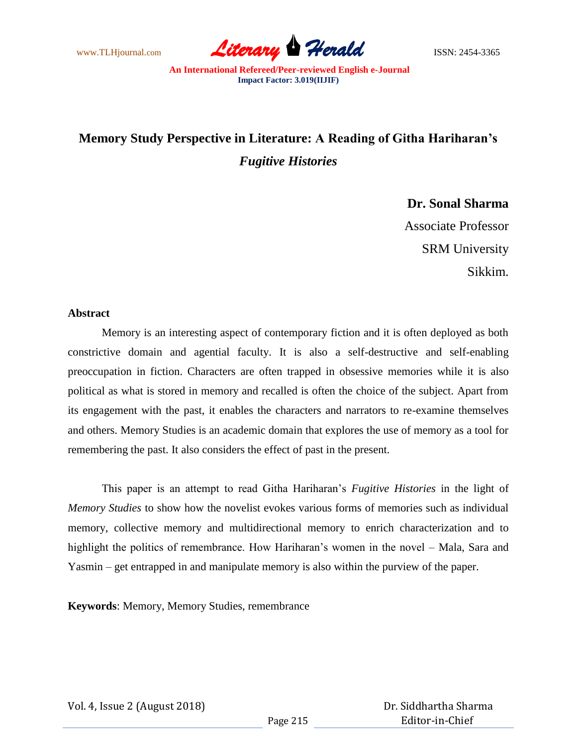

# **Memory Study Perspective in Literature: A Reading of Githa Hariharan's**  *Fugitive Histories*

**Dr. Sonal Sharma** Associate Professor SRM University Sikkim.

## **Abstract**

Memory is an interesting aspect of contemporary fiction and it is often deployed as both constrictive domain and agential faculty. It is also a self-destructive and self-enabling preoccupation in fiction. Characters are often trapped in obsessive memories while it is also political as what is stored in memory and recalled is often the choice of the subject. Apart from its engagement with the past, it enables the characters and narrators to re-examine themselves and others. Memory Studies is an academic domain that explores the use of memory as a tool for remembering the past. It also considers the effect of past in the present.

This paper is an attempt to read Githa Hariharan"s *Fugitive Histories* in the light of *Memory Studies* to show how the novelist evokes various forms of memories such as individual memory, collective memory and multidirectional memory to enrich characterization and to highlight the politics of remembrance. How Hariharan's women in the novel - Mala, Sara and Yasmin – get entrapped in and manipulate memory is also within the purview of the paper.

**Keywords**: Memory, Memory Studies, remembrance

Vol. 4, Issue 2 (August 2018)

 Dr. Siddhartha Sharma Editor-in-Chief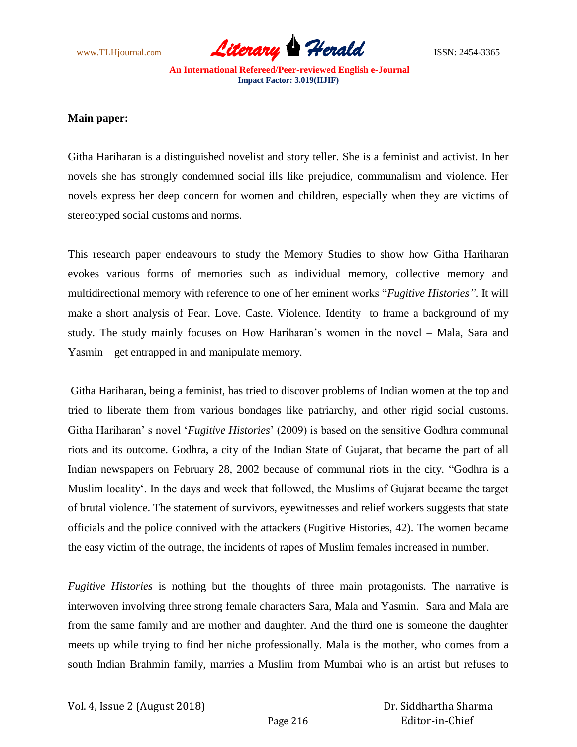

#### **Main paper:**

Githa Hariharan is a distinguished novelist and story teller. She is a feminist and activist. In her novels she has strongly condemned social ills like prejudice, communalism and violence. Her novels express her deep concern for women and children, especially when they are victims of stereotyped social customs and norms.

This research paper endeavours to study the Memory Studies to show how Githa Hariharan evokes various forms of memories such as individual memory, collective memory and multidirectional memory with reference to one of her eminent works "*Fugitive Histories".* It will make a short analysis of Fear. Love. Caste. Violence. Identity to frame a background of my study. The study mainly focuses on How Hariharan"s women in the novel – Mala, Sara and Yasmin – get entrapped in and manipulate memory.

Githa Hariharan, being a feminist, has tried to discover problems of Indian women at the top and tried to liberate them from various bondages like patriarchy, and other rigid social customs. Githa Hariharan" s novel "*Fugitive Histories*" (2009) is based on the sensitive Godhra communal riots and its outcome. Godhra, a city of the Indian State of Gujarat, that became the part of all Indian newspapers on February 28, 2002 because of communal riots in the city. "Godhra is a Muslim locality". In the days and week that followed, the Muslims of Gujarat became the target of brutal violence. The statement of survivors, eyewitnesses and relief workers suggests that state officials and the police connived with the attackers (Fugitive Histories, 42). The women became the easy victim of the outrage, the incidents of rapes of Muslim females increased in number.

*Fugitive Histories* is nothing but the thoughts of three main protagonists. The narrative is interwoven involving three strong female characters Sara, Mala and Yasmin. Sara and Mala are from the same family and are mother and daughter. And the third one is someone the daughter meets up while trying to find her niche professionally. Mala is the mother, who comes from a south Indian Brahmin family, marries a Muslim from Mumbai who is an artist but refuses to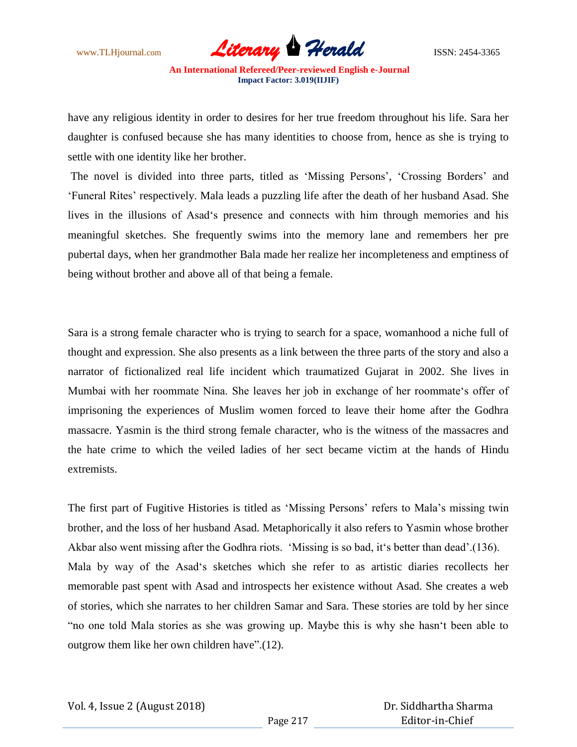

have any religious identity in order to desires for her true freedom throughout his life. Sara her daughter is confused because she has many identities to choose from, hence as she is trying to settle with one identity like her brother.

The novel is divided into three parts, titled as 'Missing Persons', 'Crossing Borders' and "Funeral Rites" respectively. Mala leads a puzzling life after the death of her husband Asad. She lives in the illusions of Asad"s presence and connects with him through memories and his meaningful sketches. She frequently swims into the memory lane and remembers her pre pubertal days, when her grandmother Bala made her realize her incompleteness and emptiness of being without brother and above all of that being a female.

Sara is a strong female character who is trying to search for a space, womanhood a niche full of thought and expression. She also presents as a link between the three parts of the story and also a narrator of fictionalized real life incident which traumatized Gujarat in 2002. She lives in Mumbai with her roommate Nina. She leaves her job in exchange of her roommate's offer of imprisoning the experiences of Muslim women forced to leave their home after the Godhra massacre. Yasmin is the third strong female character, who is the witness of the massacres and the hate crime to which the veiled ladies of her sect became victim at the hands of Hindu extremists.

The first part of Fugitive Histories is titled as 'Missing Persons' refers to Mala's missing twin brother, and the loss of her husband Asad. Metaphorically it also refers to Yasmin whose brother Akbar also went missing after the Godhra riots. 'Missing is so bad, it's better than dead'.(136). Mala by way of the Asad"s sketches which she refer to as artistic diaries recollects her memorable past spent with Asad and introspects her existence without Asad. She creates a web of stories, which she narrates to her children Samar and Sara. These stories are told by her since "no one told Mala stories as she was growing up. Maybe this is why she hasn"t been able to outgrow them like her own children have".(12).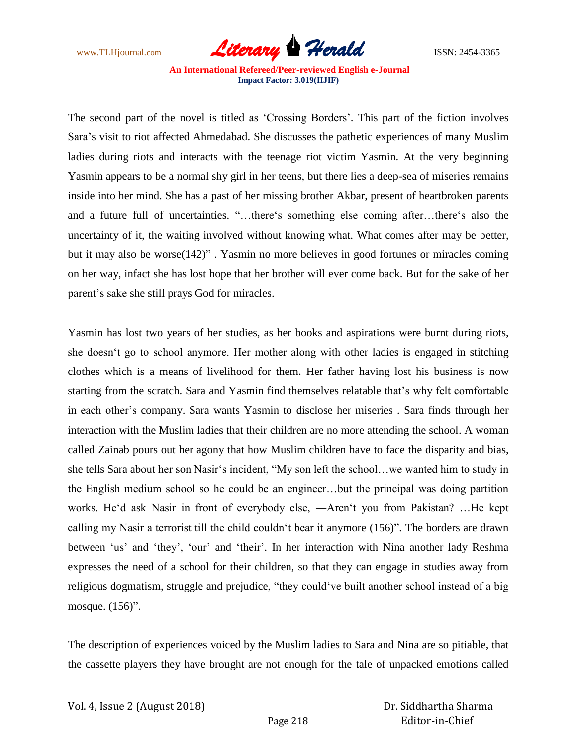

The second part of the novel is titled as 'Crossing Borders'. This part of the fiction involves Sara"s visit to riot affected Ahmedabad. She discusses the pathetic experiences of many Muslim ladies during riots and interacts with the teenage riot victim Yasmin. At the very beginning Yasmin appears to be a normal shy girl in her teens, but there lies a deep-sea of miseries remains inside into her mind. She has a past of her missing brother Akbar, present of heartbroken parents and a future full of uncertainties. "…there"s something else coming after…there"s also the uncertainty of it, the waiting involved without knowing what. What comes after may be better, but it may also be worse(142)" . Yasmin no more believes in good fortunes or miracles coming on her way, infact she has lost hope that her brother will ever come back. But for the sake of her parent"s sake she still prays God for miracles.

Yasmin has lost two years of her studies, as her books and aspirations were burnt during riots, she doesn"t go to school anymore. Her mother along with other ladies is engaged in stitching clothes which is a means of livelihood for them. Her father having lost his business is now starting from the scratch. Sara and Yasmin find themselves relatable that"s why felt comfortable in each other"s company. Sara wants Yasmin to disclose her miseries . Sara finds through her interaction with the Muslim ladies that their children are no more attending the school. A woman called Zainab pours out her agony that how Muslim children have to face the disparity and bias, she tells Sara about her son Nasir"s incident, "My son left the school…we wanted him to study in the English medium school so he could be an engineer…but the principal was doing partition works. He'd ask Nasir in front of everybody else, —Aren't you from Pakistan? ...He kept calling my Nasir a terrorist till the child couldn"t bear it anymore (156)". The borders are drawn between 'us' and 'they', 'our' and 'their'. In her interaction with Nina another lady Reshma expresses the need of a school for their children, so that they can engage in studies away from religious dogmatism, struggle and prejudice, "they could"ve built another school instead of a big mosque. (156)".

The description of experiences voiced by the Muslim ladies to Sara and Nina are so pitiable, that the cassette players they have brought are not enough for the tale of unpacked emotions called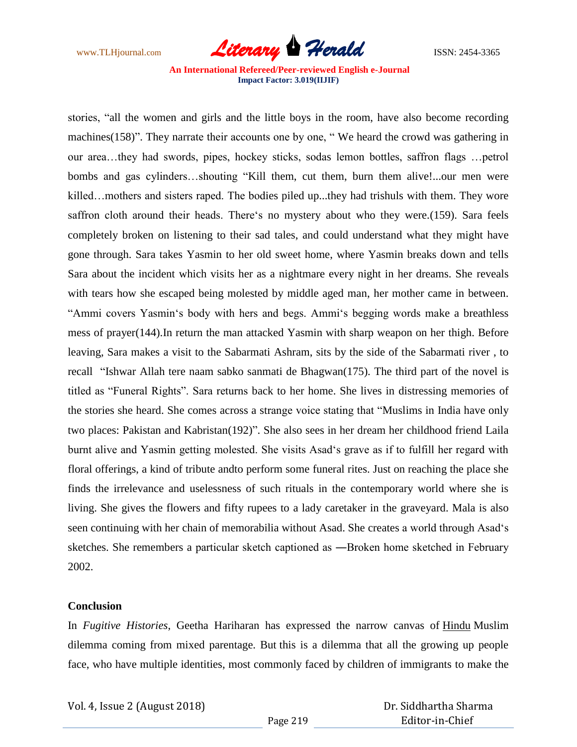

stories, "all the women and girls and the little boys in the room, have also become recording machines(158)". They narrate their accounts one by one, " We heard the crowd was gathering in our area…they had swords, pipes, hockey sticks, sodas lemon bottles, saffron flags …petrol bombs and gas cylinders…shouting "Kill them, cut them, burn them alive!...our men were killed... mothers and sisters raped. The bodies piled up...they had trishuls with them. They wore saffron cloth around their heads. There"s no mystery about who they were.(159). Sara feels completely broken on listening to their sad tales, and could understand what they might have gone through. Sara takes Yasmin to her old sweet home, where Yasmin breaks down and tells Sara about the incident which visits her as a nightmare every night in her dreams. She reveals with tears how she escaped being molested by middle aged man, her mother came in between. "Ammi covers Yasmin"s body with hers and begs. Ammi"s begging words make a breathless mess of prayer(144).In return the man attacked Yasmin with sharp weapon on her thigh. Before leaving, Sara makes a visit to the Sabarmati Ashram, sits by the side of the Sabarmati river , to recall "Ishwar Allah tere naam sabko sanmati de Bhagwan(175). The third part of the novel is titled as "Funeral Rights". Sara returns back to her home. She lives in distressing memories of the stories she heard. She comes across a strange voice stating that "Muslims in India have only two places: Pakistan and Kabristan(192)". She also sees in her dream her childhood friend Laila burnt alive and Yasmin getting molested. She visits Asad"s grave as if to fulfill her regard with floral offerings, a kind of tribute andto perform some funeral rites. Just on reaching the place she finds the irrelevance and uselessness of such rituals in the contemporary world where she is living. She gives the flowers and fifty rupees to a lady caretaker in the graveyard. Mala is also seen continuing with her chain of memorabilia without Asad. She creates a world through Asad"s sketches. She remembers a particular sketch captioned as ―Broken home sketched in February 2002.

## **Conclusion**

In *Fugitive Histories*, Geetha Hariharan has expressed the narrow canvas of Hindu Muslim dilemma coming from mixed parentage. But this is a dilemma that all the growing up people face, who have multiple identities, most commonly faced by children of immigrants to make the